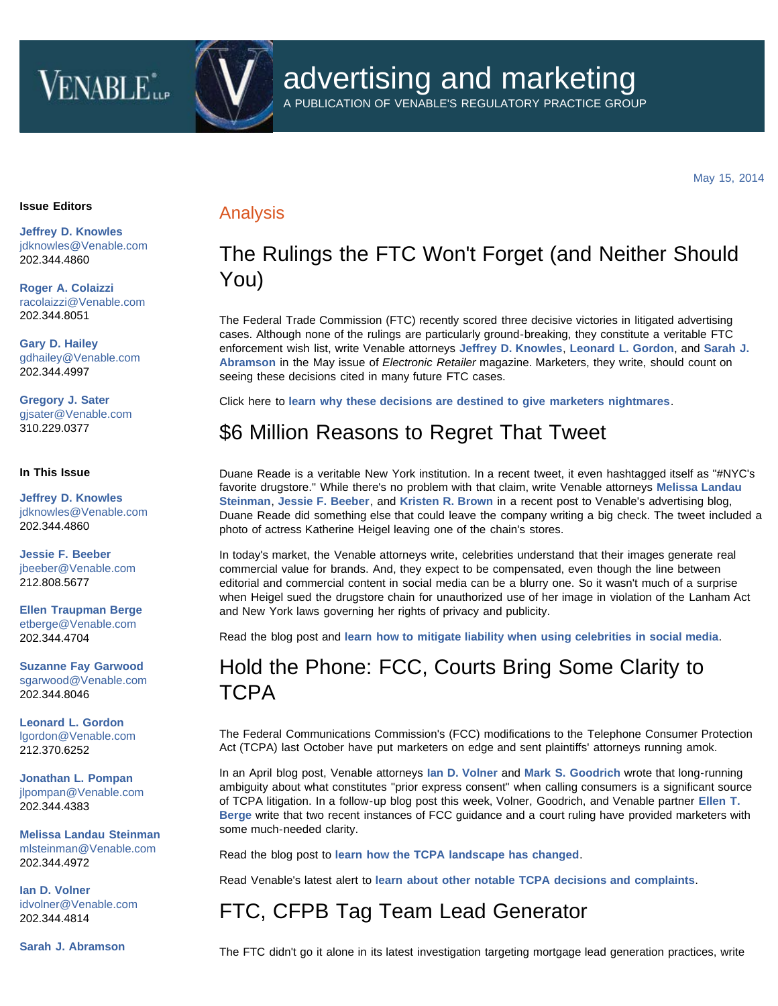# **VENABLE**



A PUBLICATION OF VENABLE'S REGULATORY PRACTICE GROUP

May 15, 2014

#### **Issue Editors**

**[Jeffrey D. Knowles](http://www.venable.com/Jeffrey-D-Knowles)** [jdknowles@Venable.com](mailto:jdknowles@Venable.com) 202.344.4860

**[Roger A. Colaizzi](http://www.venable.com/Roger-A-Colaizzi)** [racolaizzi@Venable.com](mailto:racolaizzi@Venable.com) 202.344.8051

**[Gary D. Hailey](http://www.venable.com/Gary-D-Hailey)** [gdhailey@Venable.com](mailto:gdhailey@Venable.com) 202.344.4997

**[Gregory J. Sater](http://www.venable.com/Gregory-J-Sater)** [gjsater@Venable.com](mailto:gjsater@Venable.com) 310.229.0377

#### **In This Issue**

**[Jeffrey D. Knowles](http://www.venable.com/Jeffrey-D-Knowles)** [jdknowles@Venable.com](mailto:jdknowles@Venable.com) 202.344.4860

**[Jessie F. Beeber](http://www.venable.com/Jessie-F-Beeber)** [jbeeber@Venable.com](mailto:jbeeber@Venable.com) 212.808.5677

**[Ellen Traupman Berge](http://www.venable.com/Ellen-T-Berge)** [etberge@Venable.com](mailto:etberge@Venable.com) 202.344.4704

**[Suzanne Fay Garwood](http://www.venable.com/Suzanne-F-Garwood)** [sgarwood@Venable.com](mailto:sgarwood@Venable.com) 202.344.8046

**[Leonard L. Gordon](http://www.venable.com/Leonard-L-Gordon)** [lgordon@Venable.com](mailto:lgordon@Venable.com) 212.370.6252

**[Jonathan L. Pompan](http://www.venable.com/jonathan-l-pompan)** [jlpompan@Venable.com](mailto:jlpompan@Venable.com) 202.344.4383

**[Melissa Landau Steinman](http://www.venable.com/melissa-l-steinman)** [mlsteinman@Venable.com](mailto:mlsteinman@Venable.com) 202.344.4972

**[Ian D. Volner](http://www.venable.com/Ian-D-Volner)** [idvolner@Venable.com](mailto:idvolner@Venable.com) 202.344.4814

**[Sarah J. Abramson](http://www.venable.com/Sarah-J-Abramson)**

### Analysis

### The Rulings the FTC Won't Forget (and Neither Should You)

The Federal Trade Commission (FTC) recently scored three decisive victories in litigated advertising cases. Although none of the rulings are particularly ground-breaking, they constitute a veritable FTC enforcement wish list, write Venable attorneys **[Jeffrey D. Knowles](http://www.venable.com/Jeffrey-D-Knowles?utm_source=emkt&utm_medium=email&utm_campaign=AdNews-5-15-14)**, **[Leonard L. Gordon](http://www.venable.com/Leonard-L-Gordon?utm_source=emkt&utm_medium=email&utm_campaign=AdNews-5-15-14)**, and **[Sarah J.](http://www.venable.com/Sarah-J-Abramson?utm_source=emkt&utm_medium=email&utm_campaign=AdNews-5-15-14) [Abramson](http://www.venable.com/Sarah-J-Abramson?utm_source=emkt&utm_medium=email&utm_campaign=AdNews-5-15-14)** in the May issue of *Electronic Retailer* magazine. Marketers, they write, should count on seeing these decisions cited in many future FTC cases.

Click here to **[learn why these decisions are destined to give marketers nightmares](http://www.nxtbook.com/ygsreprints/ERA/g41236_era_may2014/index.php#/20)**.

### \$6 Million Reasons to Regret That Tweet

Duane Reade is a veritable New York institution. In a recent tweet, it even hashtagged itself as "#NYC's favorite drugstore." While there's no problem with that claim, write Venable attorneys **[Melissa Landau](http://www.venable.com/melissa-l-steinman?utm_source=emkt&utm_medium=email&utm_campaign=AdNews-5-15-14) [Steinman](http://www.venable.com/melissa-l-steinman?utm_source=emkt&utm_medium=email&utm_campaign=AdNews-5-15-14)**, **[Jessie F. Beeber](http://www.venable.com/Jessie-F-Beeber?utm_source=emkt&utm_medium=email&utm_campaign=AdNews-5-15-14)**, and **[Kristen R. Brown](http://www.venable.com/Kristen-R-Brown?utm_source=emkt&utm_medium=email&utm_campaign=AdNews-5-15-14)** in a recent post to Venable's advertising blog, Duane Reade did something else that could leave the company writing a big check. The tweet included a photo of actress Katherine Heigel leaving one of the chain's stores.

In today's market, the Venable attorneys write, celebrities understand that their images generate real commercial value for brands. And, they expect to be compensated, even though the line between editorial and commercial content in social media can be a blurry one. So it wasn't much of a surprise when Heigel sued the drugstore chain for unauthorized use of her image in violation of the Lanham Act and New York laws governing her rights of privacy and publicity.

Read the blog post and **[learn how to mitigate liability when using celebrities in social media](http://www.allaboutadvertisinglaw.com/2014/05/whats-in-a-name-dollars-at-least-when-youre-a-celebrity.html?utm_source=emkt&utm_medium=email&utm_campaign=AdNews-5-15-14)**.

# Hold the Phone: FCC, Courts Bring Some Clarity to TCPA

The Federal Communications Commission's (FCC) modifications to the Telephone Consumer Protection Act (TCPA) last October have put marketers on edge and sent plaintiffs' attorneys running amok.

In an April blog post, Venable attorneys **[Ian D. Volner](http://www.venable.com/Ian-D-Volner?utm_source=emkt&utm_medium=email&utm_campaign=AdNews-5-15-14)** and **[Mark S. Goodrich](http://www.venable.com/Mark-S-Goodrich?utm_source=emkt&utm_medium=email&utm_campaign=AdNews-5-15-14)** wrote that long-running ambiguity about what constitutes "prior express consent" when calling consumers is a significant source of TCPA litigation. In a follow-up blog post this week, Volner, Goodrich, and Venable partner **[Ellen T.](http://www.venable.com/Ellen-T-Berge?utm_source=emkt&utm_medium=email&utm_campaign=AdNews-5-15-14) [Berge](http://www.venable.com/Ellen-T-Berge?utm_source=emkt&utm_medium=email&utm_campaign=AdNews-5-15-14)** write that two recent instances of FCC guidance and a court ruling have provided marketers with some much-needed clarity.

Read the blog post to **[learn how the TCPA landscape has changed](http://www.allaboutadvertisinglaw.com/2014/05/tracking-the-tcpa-rule-clarifications-and-recent-complaint-filings.html?utm_source=emkt&utm_medium=email&utm_campaign=AdNews-5-15-14)**.

Read Venable's latest alert to **[learn about other notable TCPA decisions and complaints](http://www.allaboutadvertisinglaw.com/wp-content/uploads/sites/82/2014/05/TCPA_Bi-Weekly_Update_522014.pdf?utm_source=emkt&utm_medium=email&utm_campaign=AdNews-5-15-14)**.

# FTC, CFPB Tag Team Lead Generator

The FTC didn't go it alone in its latest investigation targeting mortgage lead generation practices, write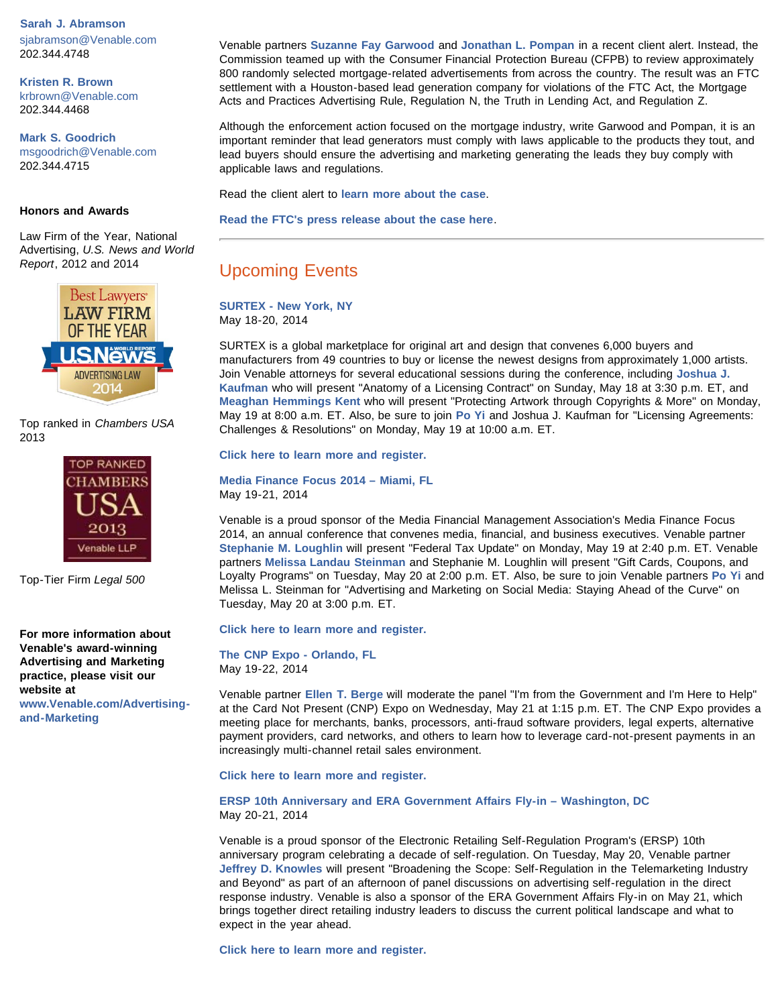#### **Sarah J. Abramson**

[sjabramson@Venable.com](mailto:sjabramson@Venable.com) 202.344.4748

**[Kristen R. Brown](http://www.venable.com/Kristen-R-Brown)** [krbrown@Venable.com](mailto:krbrown@Venable.com) 202.344.4468

**[Mark S. Goodrich](http://www.venable.com/Mark-S-Goodrich)** [msgoodrich@Venable.com](mailto:msgoodrich@Venable.com) 202.344.4715

#### **Honors and Awards**

Law Firm of the Year, National Advertising, *U.S. News and World Report*, 2012 and 2014



Top ranked in *Chambers USA* 2013



Top-Tier Firm *Legal 500*

**For more information about Venable's award-winning Advertising and Marketing practice, please visit our website at**

**[www.Venable.com/Advertising](http://www.venable.com/Advertising-and-Marketing)[and-Marketing](http://www.venable.com/Advertising-and-Marketing)**

Venable partners **[Suzanne Fay Garwood](http://www.venable.com/Suzanne-F-Garwood?utm_source=emkt&utm_medium=email&utm_campaign=AdNews-5-15-14)** and **[Jonathan L. Pompan](http://www.venable.com/jonathan-l-pompan?utm_source=emkt&utm_medium=email&utm_campaign=AdNews-5-15-14)** in a recent client alert. Instead, the Commission teamed up with the Consumer Financial Protection Bureau (CFPB) to review approximately 800 randomly selected mortgage-related advertisements from across the country. The result was an FTC settlement with a Houston-based lead generation company for violations of the FTC Act, the Mortgage Acts and Practices Advertising Rule, Regulation N, the Truth in Lending Act, and Regulation Z.

Although the enforcement action focused on the mortgage industry, write Garwood and Pompan, it is an important reminder that lead generators must comply with laws applicable to the products they tout, and lead buyers should ensure the advertising and marketing generating the leads they buy comply with applicable laws and regulations.

Read the client alert to **[learn more about the case](http://www.venable.com/lessons-from-the-ftcs-latest-lead-generation-enforcement-action-05-14-2014?utm_source=emkt&utm_medium=email&utm_campaign=AdNews-5-15-14)**.

**[Read the FTC's press release about the case here](http://www.ftc.gov/news-events/press-releases/2014/05/mortgage-lead-generator-will-pay-225000-settle-ftc-charges-it)**.

### Upcoming Events

**[SURTEX - New York, NY](http://www.surtex.com/Home/tabid/38/Default.aspx)** May 18-20, 2014

SURTEX is a global marketplace for original art and design that convenes 6,000 buyers and manufacturers from 49 countries to buy or license the newest designs from approximately 1,000 artists. Join Venable attorneys for several educational sessions during the conference, including **[Joshua J.](http://www.venable.com/joshua-j-kaufman?utm_source=emkt&utm_medium=email&utm_campaign=AdNews-5-15-14) [Kaufman](http://www.venable.com/joshua-j-kaufman?utm_source=emkt&utm_medium=email&utm_campaign=AdNews-5-15-14)** who will present "Anatomy of a Licensing Contract" on Sunday, May 18 at 3:30 p.m. ET, and **[Meaghan Hemmings Kent](http://www.venable.com/meaghan-h-kent?utm_source=emkt&utm_medium=email&utm_campaign=AdNews-5-15-14)** who will present "Protecting Artwork through Copyrights & More" on Monday, May 19 at 8:00 a.m. ET. Also, be sure to join **[Po Yi](http://www.venable.com/po-yi?utm_source=emkt&utm_medium=email&utm_campaign=AdNews-5-15-14)** and Joshua J. Kaufman for "Licensing Agreements: Challenges & Resolutions" on Monday, May 19 at 10:00 a.m. ET.

**[Click here to learn more and register.](http://www.surtex.com/Home/tabid/38/Default.aspx)**

**[Media Finance Focus 2014 – Miami, FL](http://www.mediafinance.org/default.aspx?PageID=331)** May 19-21, 2014

Venable is a proud sponsor of the Media Financial Management Association's Media Finance Focus 2014, an annual conference that convenes media, financial, and business executives. Venable partner **[Stephanie M. Loughlin](http://www.venable.com/stephanie-m-loughlin?utm_source=emkt&utm_medium=email&utm_campaign=AdNews-5-15-14)** will present "Federal Tax Update" on Monday, May 19 at 2:40 p.m. ET. Venable partners **[Melissa Landau Steinman](http://www.venable.com/melissa-l-steinman?utm_source=emkt&utm_medium=email&utm_campaign=AdNews-5-15-14)** and Stephanie M. Loughlin will present "Gift Cards, Coupons, and Loyalty Programs" on Tuesday, May 20 at 2:00 p.m. ET. Also, be sure to join Venable partners **[Po Yi](http://www.venable.com/po-yi?utm_source=emkt&utm_medium=email&utm_campaign=AdNews-5-15-14)** and Melissa L. Steinman for "Advertising and Marketing on Social Media: Staying Ahead of the Curve" on Tuesday, May 20 at 3:00 p.m. ET.

**[Click here to learn more and register.](http://www.mediafinance.org/default.aspx?PageID=331)**

**[The CNP Expo - Orlando, FL](http://cardnotpresent.com/cnpexpo/default.aspx)** May 19-22, 2014

Venable partner **[Ellen T. Berge](http://www.venable.com/ellen-t-berge?utm_source=emkt&utm_medium=email&utm_campaign=AdNews-5-15-14)** will moderate the panel "I'm from the Government and I'm Here to Help" at the Card Not Present (CNP) Expo on Wednesday, May 21 at 1:15 p.m. ET. The CNP Expo provides a meeting place for merchants, banks, processors, anti-fraud software providers, legal experts, alternative payment providers, card networks, and others to learn how to leverage card-not-present payments in an increasingly multi-channel retail sales environment.

**[Click here to learn more and register.](http://cardnotpresent.com/cnpexpo/default.aspx)**

**[ERSP 10th Anniversary and ERA Government Affairs Fly-in – Washington, DC](http://www.electronicretailing.org/eweb/DynamicPage.aspx?webcode=EventInfo&Reg_evt_key=fc0b0761-9b1d-4b60-b256-75cfd3dfdadc&RegPath=EventRegFees&FreeEvent=0&Event=Government Affairs Fly-In 2014&FundraisingEvent=0&evt_guest_limit=9999)** May 20-21, 2014

Venable is a proud sponsor of the Electronic Retailing Self-Regulation Program's (ERSP) 10th anniversary program celebrating a decade of self-regulation. On Tuesday, May 20, Venable partner **[Jeffrey D. Knowles](http://www.venable.com/Jeffrey-D-Knowles?utm_source=emkt&utm_medium=email&utm_campaign=AdNews-5-15-14)** will present "Broadening the Scope: Self-Regulation in the Telemarketing Industry and Beyond" as part of an afternoon of panel discussions on advertising self-regulation in the direct response industry. Venable is also a sponsor of the ERA Government Affairs Fly-in on May 21, which brings together direct retailing industry leaders to discuss the current political landscape and what to expect in the year ahead.

**[Click here to learn more and register.](http://www.electronicretailing.org/eweb/DynamicPage.aspx?webcode=EventInfo&Reg_evt_key=fc0b0761-9b1d-4b60-b256-75cfd3dfdadc&RegPath=EventRegFees&FreeEvent=0&Event=Government Affairs Fly-In 2014&FundraisingEvent=0&evt_guest_limit=9999)**